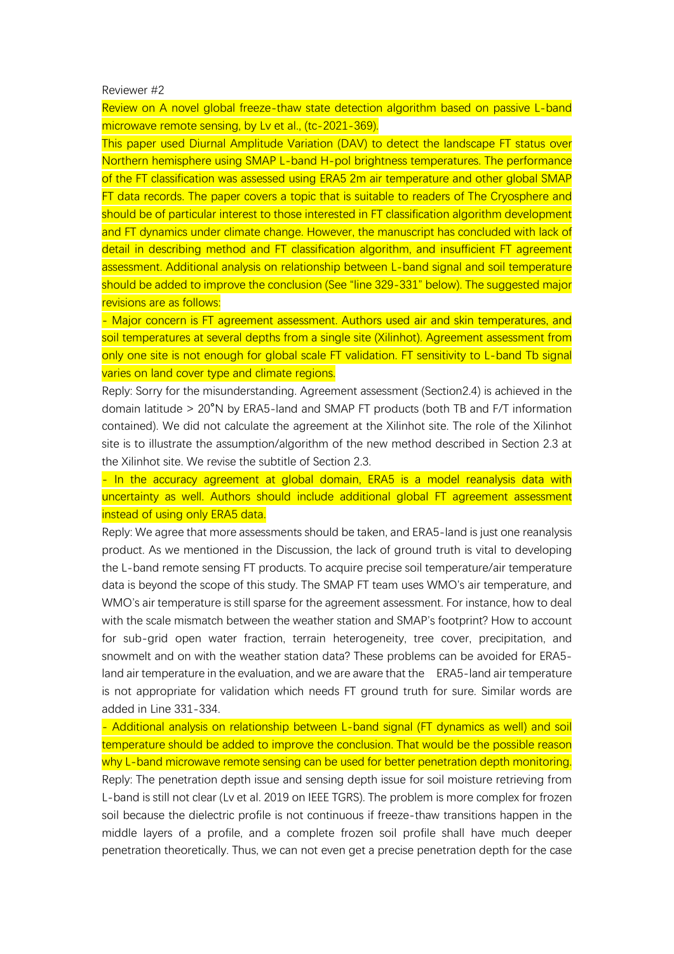## Reviewer #2

Review on A novel global freeze-thaw state detection algorithm based on passive L-band microwave remote sensing, by Lv et al., (tc-2021-369).

This paper used Diurnal Amplitude Variation (DAV) to detect the landscape FT status over Northern hemisphere using SMAP L-band H-pol brightness temperatures. The performance of the FT classification was assessed using ERA5 2m air temperature and other global SMAP FT data records. The paper covers a topic that is suitable to readers of The Cryosphere and should be of particular interest to those interested in FT classification algorithm development and FT dynamics under climate change. However, the manuscript has concluded with lack of detail in describing method and FT classification algorithm, and insufficient FT agreement assessment. Additional analysis on relationship between L-band signal and soil temperature should be added to improve the conclusion (See "line 329-331" below). The suggested major revisions are as follows:

- Major concern is FT agreement assessment. Authors used air and skin temperatures, and soil temperatures at several depths from a single site (Xilinhot). Agreement assessment from only one site is not enough for global scale FT validation. FT sensitivity to L-band Tb signal varies on land cover type and climate regions.

Reply: Sorry for the misunderstanding. Agreement assessment (Section2.4) is achieved in the domain latitude > 20°N by ERA5-land and SMAP FT products (both TB and F/T information contained). We did not calculate the agreement at the Xilinhot site. The role of the Xilinhot site is to illustrate the assumption/algorithm of the new method described in Section 2.3 at the Xilinhot site. We revise the subtitle of Section 2.3.

- In the accuracy agreement at global domain, ERA5 is a model reanalysis data with uncertainty as well. Authors should include additional global FT agreement assessment instead of using only ERA5 data.

Reply: We agree that more assessments should be taken, and ERA5-land is just one reanalysis product. As we mentioned in the Discussion, the lack of ground truth is vital to developing the L-band remote sensing FT products. To acquire precise soil temperature/air temperature data is beyond the scope of this study. The SMAP FT team uses WMO's air temperature, and WMO's air temperature is still sparse for the agreement assessment. For instance, how to deal with the scale mismatch between the weather station and SMAP's footprint? How to account for sub-grid open water fraction, terrain heterogeneity, tree cover, precipitation, and snowmelt and on with the weather station data? These problems can be avoided for ERA5 land air temperature in the evaluation, and we are aware that the ERA5-land air temperature is not appropriate for validation which needs FT ground truth for sure. Similar words are added in Line 331-334.

- Additional analysis on relationship between L-band signal (FT dynamics as well) and soil temperature should be added to improve the conclusion. That would be the possible reason why L-band microwave remote sensing can be used for better penetration depth monitoring. Reply: The penetration depth issue and sensing depth issue for soil moisture retrieving from L-band is still not clear (Lv et al. 2019 on IEEE TGRS). The problem is more complex for frozen soil because the dielectric profile is not continuous if freeze-thaw transitions happen in the middle layers of a profile, and a complete frozen soil profile shall have much deeper penetration theoretically. Thus, we can not even get a precise penetration depth for the case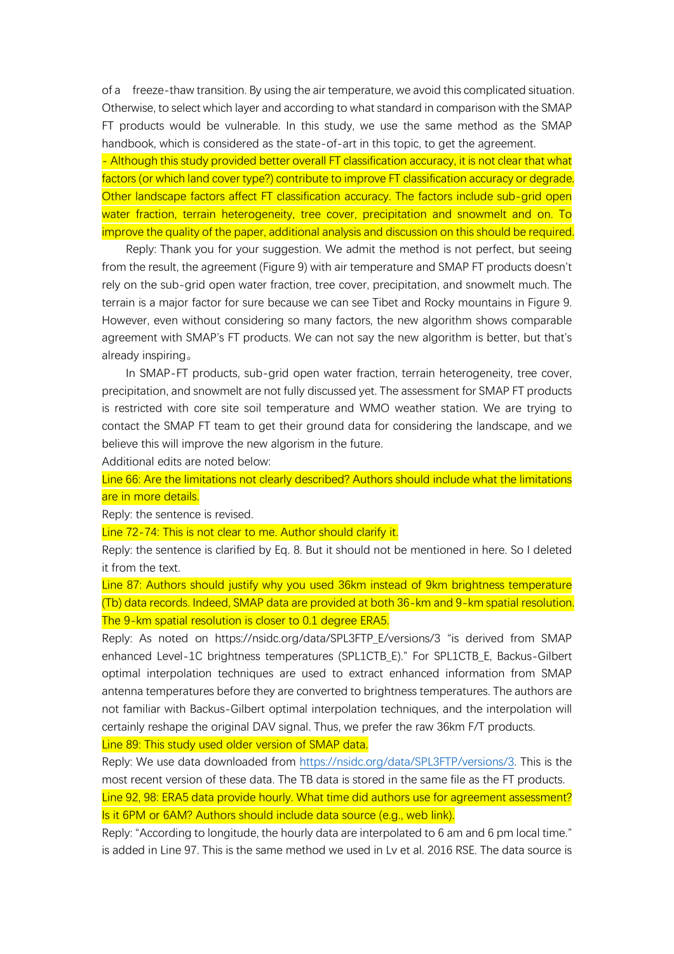of a freeze-thaw transition. By using the air temperature, we avoid this complicated situation. Otherwise, to select which layer and according to what standard in comparison with the SMAP FT products would be vulnerable. In this study, we use the same method as the SMAP handbook, which is considered as the state-of-art in this topic, to get the agreement.

- Although this study provided better overall FT classification accuracy, it is not clear that what factors (or which land cover type?) contribute to improve FT classification accuracy or degrade. Other landscape factors affect FT classification accuracy. The factors include sub-grid open water fraction, terrain heterogeneity, tree cover, precipitation and snowmelt and on. To improve the quality of the paper, additional analysis and discussion on this should be required.

Reply: Thank you for your suggestion. We admit the method is not perfect, but seeing from the result, the agreement (Figure 9) with air temperature and SMAP FT products doesn't rely on the sub-grid open water fraction, tree cover, precipitation, and snowmelt much. The terrain is a major factor for sure because we can see Tibet and Rocky mountains in Figure 9. However, even without considering so many factors, the new algorithm shows comparable agreement with SMAP's FT products. We can not say the new algorithm is better, but that's already inspiring。

In SMAP-FT products, sub-grid open water fraction, terrain heterogeneity, tree cover, precipitation, and snowmelt are not fully discussed yet. The assessment for SMAP FT products is restricted with core site soil temperature and WMO weather station. We are trying to contact the SMAP FT team to get their ground data for considering the landscape, and we believe this will improve the new algorism in the future.

Additional edits are noted below:

Line 66: Are the limitations not clearly described? Authors should include what the limitations are in more details.

Reply: the sentence is revised.

Line 72-74: This is not clear to me. Author should clarify it.

Reply: the sentence is clarified by Eq. 8. But it should not be mentioned in here. So I deleted it from the text.

Line 87: Authors should justify why you used 36km instead of 9km brightness temperature (Tb) data records. Indeed, SMAP data are provided at both 36-km and 9-km spatial resolution. The 9-km spatial resolution is closer to 0.1 degree ERA5.

Reply: As noted on https://nsidc.org/data/SPL3FTP\_E/versions/3 "is derived from SMAP enhanced Level-1C brightness temperatures (SPL1CTB\_E)." For SPL1CTB\_E, Backus-Gilbert optimal interpolation techniques are used to extract enhanced information from SMAP antenna temperatures before they are converted to brightness temperatures. The authors are not familiar with Backus-Gilbert optimal interpolation techniques, and the interpolation will certainly reshape the original DAV signal. Thus, we prefer the raw 36km F/T products.

Line 89: This study used older version of SMAP data.

Reply: We use data downloaded from [https://nsidc.org/data/SPL3FTP/versions/3.](https://nsidc.org/data/SPL3FTP/versions/3) This is the most recent version of these data. The TB data is stored in the same file as the FT products. Line 92, 98: ERA5 data provide hourly. What time did authors use for agreement assessment? Is it 6PM or 6AM? Authors should include data source (e.g., web link).

Reply: "According to longitude, the hourly data are interpolated to 6 am and 6 pm local time." is added in Line 97. This is the same method we used in Lv et al. 2016 RSE. The data source is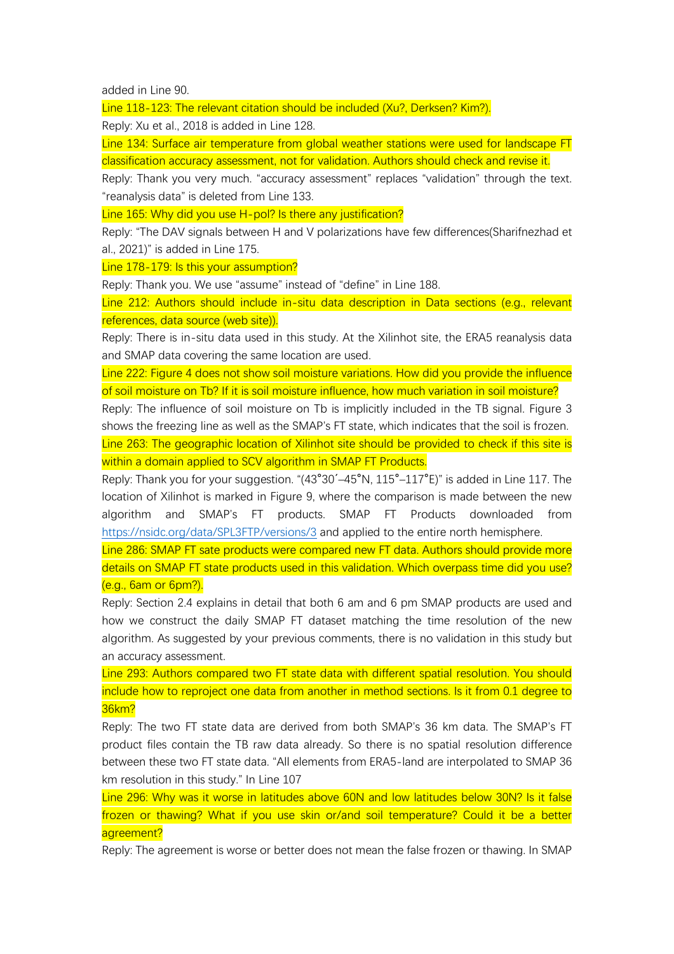added in Line 90.

Line 118-123: The relevant citation should be included (Xu?, Derksen? Kim?).

Reply: Xu et al., 2018 is added in Line 128.

Line 134: Surface air temperature from global weather stations were used for landscape FT classification accuracy assessment, not for validation. Authors should check and revise it.

Reply: Thank you very much. "accuracy assessment" replaces "validation" through the text. "reanalysis data" is deleted from Line 133.

Line 165: Why did you use H-pol? Is there any justification?

Reply: "The DAV signals between H and V polarizations have few differences(Sharifnezhad et al., 2021)" is added in Line 175.

Line 178-179: Is this your assumption?

Reply: Thank you. We use "assume" instead of "define" in Line 188.

Line 212: Authors should include in-situ data description in Data sections (e.g., relevant references, data source (web site)).

Reply: There is in-situ data used in this study. At the Xilinhot site, the ERA5 reanalysis data and SMAP data covering the same location are used.

Line 222: Figure 4 does not show soil moisture variations. How did you provide the influence of soil moisture on Tb? If it is soil moisture influence, how much variation in soil moisture?

Reply: The influence of soil moisture on Tb is implicitly included in the TB signal. Figure 3 shows the freezing line as well as the SMAP's FT state, which indicates that the soil is frozen. Line 263: The geographic location of Xilinhot site should be provided to check if this site is within a domain applied to SCV algorithm in SMAP FT Products.

Reply: Thank you for your suggestion. "(43°30´–45°N, 115°–117°E)" is added in Line 117. The location of Xilinhot is marked in Figure 9, where the comparison is made between the new algorithm and SMAP's FT products. SMAP FT Products downloaded from <https://nsidc.org/data/SPL3FTP/versions/3> and applied to the entire north hemisphere.

Line 286: SMAP FT sate products were compared new FT data. Authors should provide more details on SMAP FT state products used in this validation. Which overpass time did you use? (e.g., 6am or 6pm?).

Reply: Section 2.4 explains in detail that both 6 am and 6 pm SMAP products are used and how we construct the daily SMAP FT dataset matching the time resolution of the new algorithm. As suggested by your previous comments, there is no validation in this study but an accuracy assessment.

Line 293: Authors compared two FT state data with different spatial resolution. You should include how to reproject one data from another in method sections. Is it from 0.1 degree to 36km?

Reply: The two FT state data are derived from both SMAP's 36 km data. The SMAP's FT product files contain the TB raw data already. So there is no spatial resolution difference between these two FT state data. "All elements from ERA5-land are interpolated to SMAP 36 km resolution in this study." In Line 107

Line 296: Why was it worse in latitudes above 60N and low latitudes below 30N? Is it false frozen or thawing? What if you use skin or/and soil temperature? Could it be a better agreement?

Reply: The agreement is worse or better does not mean the false frozen or thawing. In SMAP